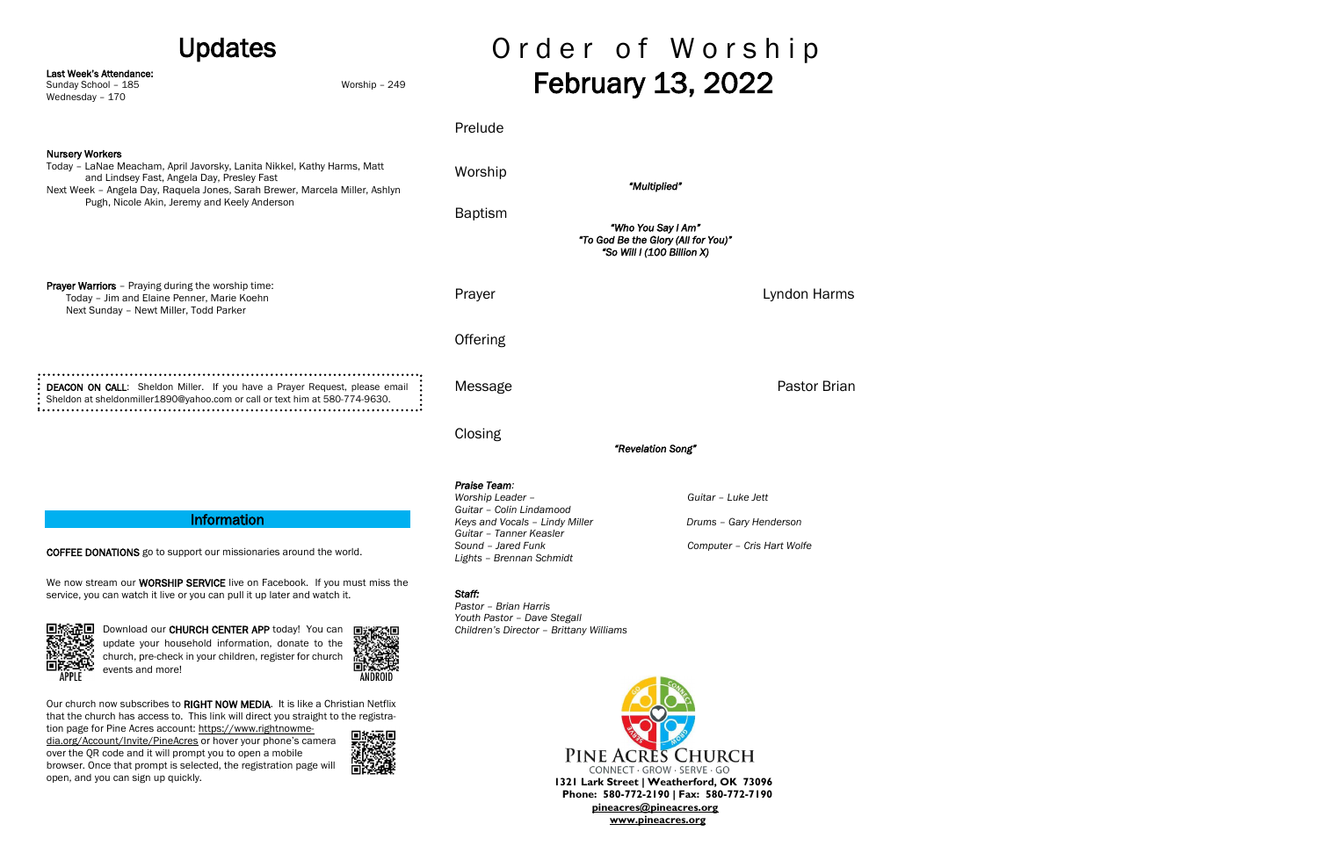We now stream our **WORSHIP SERVICE** live on Facebook. If you must miss the service, you can watch it live or you can pull it up later and watch it.



Download our CHURCH CENTER APP today! You can update your household information, donate to the church, pre-check in your children, register for church events and more!



COFFEE DONATIONS go to support our missionaries around the world.

| <b>Updates</b>                                                                                                                                                                                                                 |               | Order of Worship         |                                                                                         |  |
|--------------------------------------------------------------------------------------------------------------------------------------------------------------------------------------------------------------------------------|---------------|--------------------------|-----------------------------------------------------------------------------------------|--|
| Last Week's Attendance:<br>Sunday School - 185<br>Wednesday - 170                                                                                                                                                              | Worship - 249 | <b>February 13, 2022</b> |                                                                                         |  |
|                                                                                                                                                                                                                                |               | Prelude                  |                                                                                         |  |
| <b>Nursery Workers</b><br>Today - LaNae Meacham, April Javorsky, Lanita Nikkel, Kathy Harms, Matt<br>and Lindsey Fast, Angela Day, Presley Fast<br>Next Week - Angela Day, Raquela Jones, Sarah Brewer, Marcela Miller, Ashlyn |               | Worship                  | "Multiplied"                                                                            |  |
| Pugh, Nicole Akin, Jeremy and Keely Anderson                                                                                                                                                                                   |               | <b>Baptism</b>           | "Who You Say I Am"<br>"To God Be the Glory (All for You)"<br>"So Will I (100 Billion X) |  |
| <b>Prayer Warriors</b> - Praying during the worship time:<br>Today - Jim and Elaine Penner, Marie Koehn<br>Next Sunday - Newt Miller, Todd Parker                                                                              |               | Prayer                   | Lyndon Harms                                                                            |  |
|                                                                                                                                                                                                                                |               | <b>Offering</b>          |                                                                                         |  |
| DEACON ON CALL: Sheldon Miller. If you have a Prayer Request, please email<br>Sheldon at sheldonmiller1890@yahoo.com or call or text him at 580-774-9630.                                                                      |               | Message                  | Pastor Brian                                                                            |  |
|                                                                                                                                                                                                                                |               | Closing                  | "Revelation Song"                                                                       |  |
|                                                                                                                                                                                                                                |               |                          |                                                                                         |  |

## **Information**

Our church now subscribes to RIGHT NOW MEDIA. It is like a Christian Netflix that the church has access to. This link will direct you straight to the registra-

tion page for Pine Acres account: [https://www.rightnowme](https://www.rightnowmedia.org/Account/Invite/PineAcres)[dia.org/Account/Invite/PineAcres](https://www.rightnowmedia.org/Account/Invite/PineAcres) or hover your phone's camera over the QR code and it will prompt you to open a mobile browser. Once that prompt is selected, the registration page will open, and you can sign up quickly.



# *Praise Team: Worship Leader – Guitar – Luke Jett Guitar – Colin Lindamood Keys and Vocals – Lindy Miller Cary Henderson Drums – Gary Henderson Guitar – Tanner Keasler*

*Sound – Jared Funk Computer – Cris Hart Wolfe*

*Lights – Brennan Schmidt*

#### *Staff:*

*Pastor – Brian Harris Youth Pastor – Dave Stegall Children's Director – Brittany Williams*